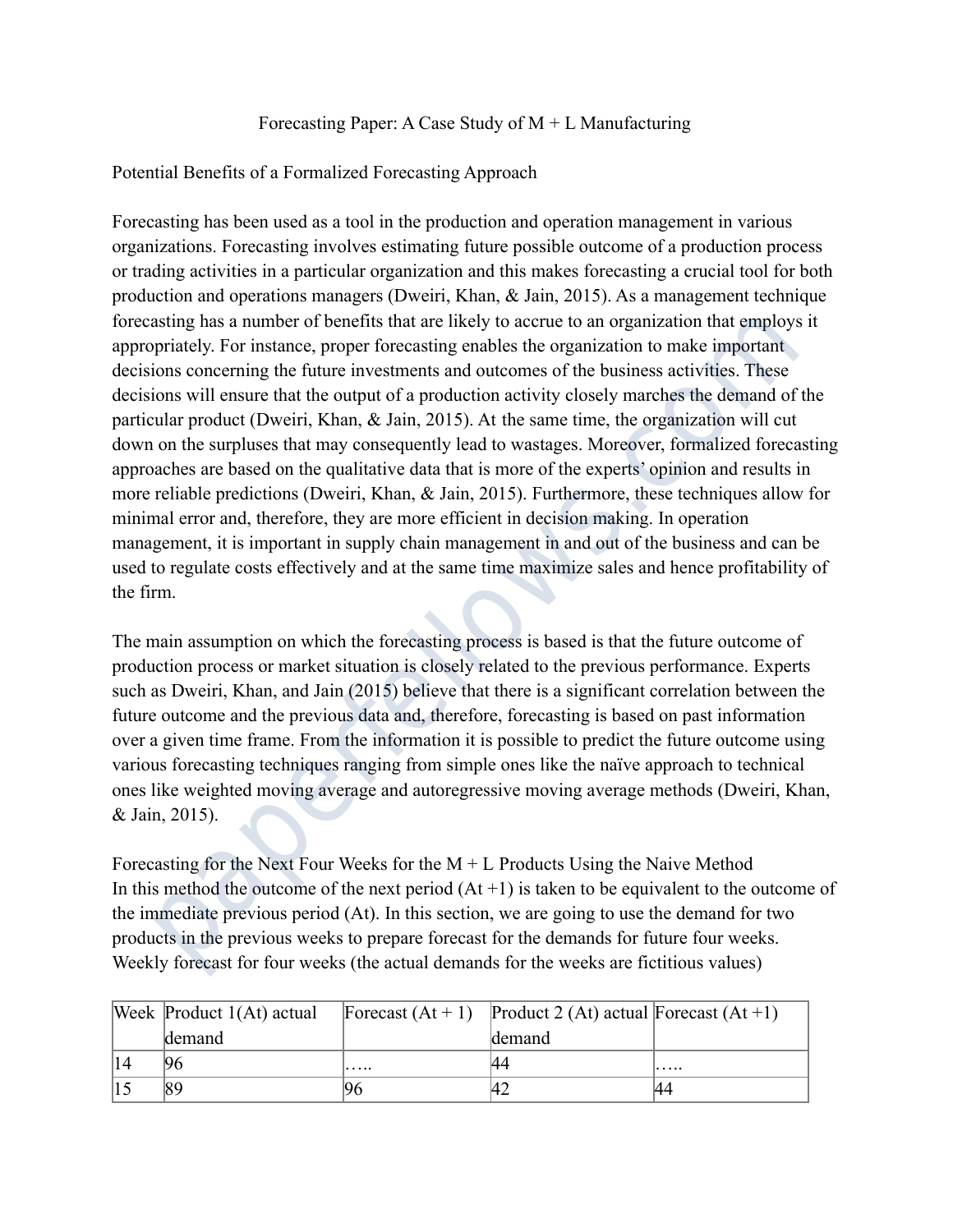## Forecasting Paper: A Case Study of  $M + L$  Manufacturing

## Potential Benefits of a Formalized Forecasting Approach

Forecasting has been used as a tool in the production and operation management in various organizations. Forecasting involves estimating future possible outcome of a production process or trading activities in a particular organization and this makes forecasting a crucial tool for both production and operations managers (Dweiri, Khan, & Jain, 2015). As a management technique forecasting has a number of benefits that are likely to accrue to an organization that employs it appropriately. For instance, proper forecasting enables the organization to make important decisions concerning the future investments and outcomes of the business activities. These decisions will ensure that the output of a production activity closely marches the demand of the particular product (Dweiri, Khan, & Jain, 2015). At the same time, the organization will cut down on the surpluses that may consequently lead to wastages. Moreover, formalized forecasting approaches are based on the qualitative data that is more of the experts' opinion and results in more reliable predictions (Dweiri, Khan, & Jain, 2015). Furthermore, these techniques allow for minimal error and, therefore, they are more efficient in decision making. In operation management, it is important in supply chain management in and out of the business and can be used to regulate costs effectively and at the same time maximize sales and hence profitability of the firm. asting has a number of benefits that are likely to accrue to an organization that employs<br>prioritely. For instance, proper frotecasting enables the organization to make importation<br>pointions concerning the future investme

The main assumption on which the forecasting process is based is that the future outcome of production process or market situation is closely related to the previous performance. Experts such as Dweiri, Khan, and Jain (2015) believe that there is a significant correlation between the future outcome and the previous data and, therefore, forecasting is based on past information over a given time frame. From the information it is possible to predict the future outcome using various forecasting techniques ranging from simple ones like the naïve approach to technical ones like weighted moving average and autoregressive moving average methods (Dweiri, Khan, & Jain, 2015).

Forecasting for the Next Four Weeks for the  $M + L$  Products Using the Naive Method In this method the outcome of the next period  $(At +1)$  is taken to be equivalent to the outcome of the immediate previous period (At). In this section, we are going to use the demand for two products in the previous weeks to prepare forecast for the demands for future four weeks. Weekly forecast for four weeks (the actual demands for the weeks are fictitious values)

| Week Product 1(At) actual |   | Forecast $(At + 1)$ Product 2 $(At)$ actual Forecast $(At + 1)$ |   |
|---------------------------|---|-----------------------------------------------------------------|---|
| demand                    |   | demand                                                          |   |
| 96                        | . |                                                                 | . |
|                           |   |                                                                 |   |